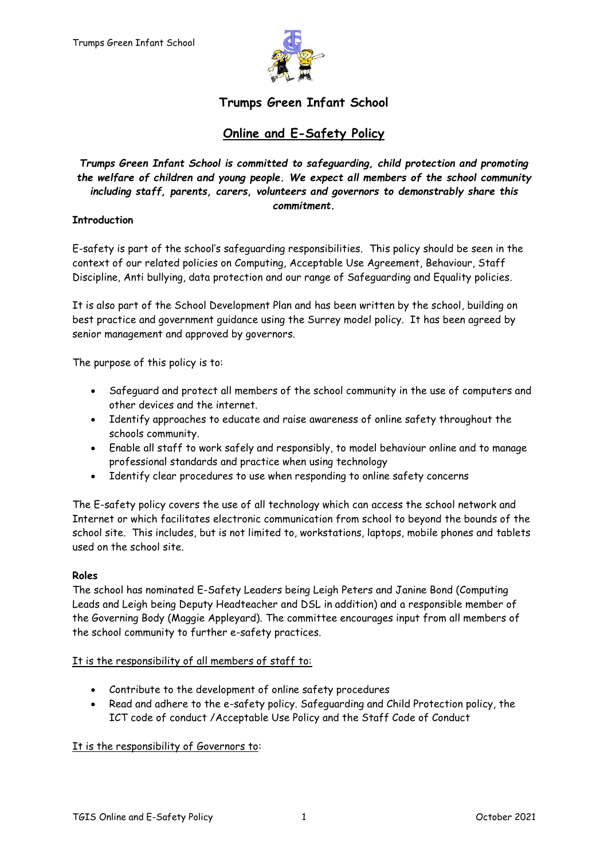

# **Trumps Green Infant School**

# **Online and E-Safety Policy**

*Trumps Green Infant School is committed to safeguarding, child protection and promoting the welfare of children and young people. We expect all members of the school community including staff, parents, carers, volunteers and governors to demonstrably share this commitment.*

## **Introduction**

E-safety is part of the school's safeguarding responsibilities. This policy should be seen in the context of our related policies on Computing, Acceptable Use Agreement, Behaviour, Staff Discipline, Anti bullying, data protection and our range of Safeguarding and Equality policies.

It is also part of the School Development Plan and has been written by the school, building on best practice and government guidance using the Surrey model policy. It has been agreed by senior management and approved by governors.

The purpose of this policy is to:

- Safeguard and protect all members of the school community in the use of computers and other devices and the internet.
- Identify approaches to educate and raise awareness of online safety throughout the schools community.
- Enable all staff to work safely and responsibly, to model behaviour online and to manage professional standards and practice when using technology
- Identify clear procedures to use when responding to online safety concerns

The E-safety policy covers the use of all technology which can access the school network and Internet or which facilitates electronic communication from school to beyond the bounds of the school site. This includes, but is not limited to, workstations, laptops, mobile phones and tablets used on the school site.

## **Roles**

The school has nominated E-Safety Leaders being Leigh Peters and Janine Bond (Computing Leads and Leigh being Deputy Headteacher and DSL in addition) and a responsible member of the Governing Body (Maggie Appleyard). The committee encourages input from all members of the school community to further e-safety practices.

## It is the responsibility of all members of staff to:

- Contribute to the development of online safety procedures
- Read and adhere to the e-safety policy. Safeguarding and Child Protection policy, the ICT code of conduct /Acceptable Use Policy and the Staff Code of Conduct

## It is the responsibility of Governors to: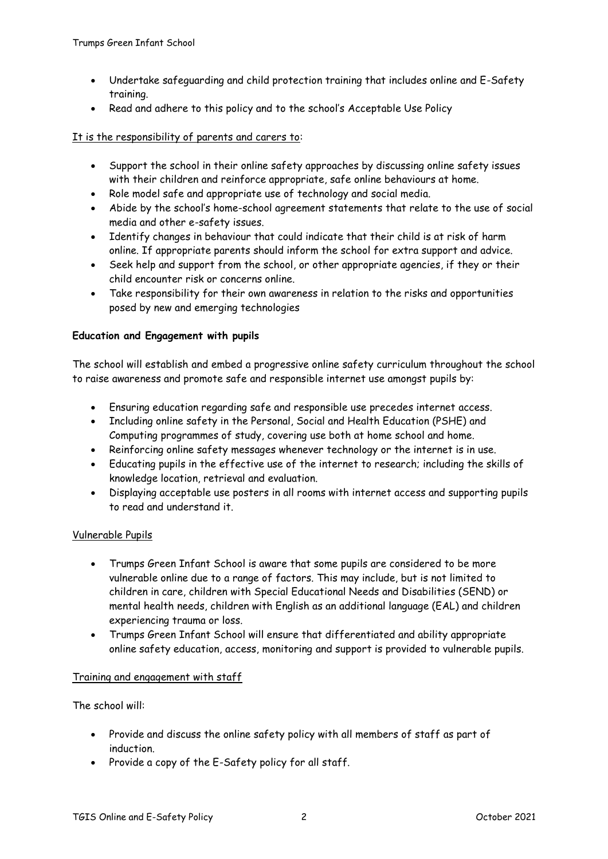- Undertake safeguarding and child protection training that includes online and E-Safety training.
- Read and adhere to this policy and to the school's Acceptable Use Policy

#### It is the responsibility of parents and carers to:

- Support the school in their online safety approaches by discussing online safety issues with their children and reinforce appropriate, safe online behaviours at home.
- Role model safe and appropriate use of technology and social media.
- Abide by the school's home-school agreement statements that relate to the use of social media and other e-safety issues.
- Identify changes in behaviour that could indicate that their child is at risk of harm online. If appropriate parents should inform the school for extra support and advice.
- Seek help and support from the school, or other appropriate agencies, if they or their child encounter risk or concerns online.
- Take responsibility for their own awareness in relation to the risks and opportunities posed by new and emerging technologies

#### **Education and Engagement with pupils**

The school will establish and embed a progressive online safety curriculum throughout the school to raise awareness and promote safe and responsible internet use amongst pupils by:

- Ensuring education regarding safe and responsible use precedes internet access.
- Including online safety in the Personal, Social and Health Education (PSHE) and Computing programmes of study, covering use both at home school and home.
- Reinforcing online safety messages whenever technology or the internet is in use.
- Educating pupils in the effective use of the internet to research; including the skills of knowledge location, retrieval and evaluation.
- Displaying acceptable use posters in all rooms with internet access and supporting pupils to read and understand it.

## Vulnerable Pupils

- Trumps Green Infant School is aware that some pupils are considered to be more vulnerable online due to a range of factors. This may include, but is not limited to children in care, children with Special Educational Needs and Disabilities (SEND) or mental health needs, children with English as an additional language (EAL) and children experiencing trauma or loss.
- Trumps Green Infant School will ensure that differentiated and ability appropriate online safety education, access, monitoring and support is provided to vulnerable pupils.

## Training and engagement with staff

The school will:

- Provide and discuss the online safety policy with all members of staff as part of induction.
- Provide a copy of the E-Safety policy for all staff.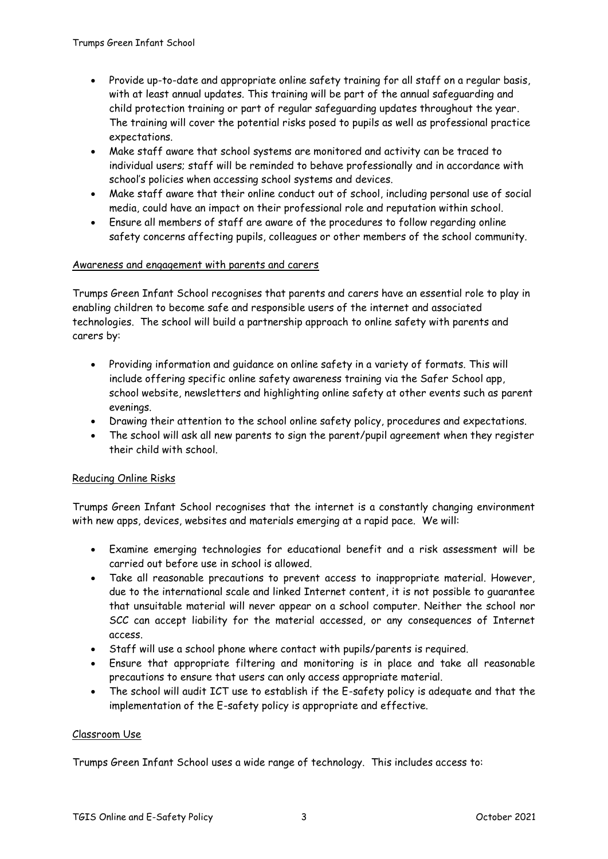- Provide up-to-date and appropriate online safety training for all staff on a regular basis, with at least annual updates. This training will be part of the annual safeguarding and child protection training or part of regular safeguarding updates throughout the year. The training will cover the potential risks posed to pupils as well as professional practice expectations.
- Make staff aware that school systems are monitored and activity can be traced to individual users; staff will be reminded to behave professionally and in accordance with school's policies when accessing school systems and devices.
- Make staff aware that their online conduct out of school, including personal use of social media, could have an impact on their professional role and reputation within school.
- Ensure all members of staff are aware of the procedures to follow regarding online safety concerns affecting pupils, colleagues or other members of the school community.

#### Awareness and engagement with parents and carers

Trumps Green Infant School recognises that parents and carers have an essential role to play in enabling children to become safe and responsible users of the internet and associated technologies. The school will build a partnership approach to online safety with parents and carers by:

- Providing information and guidance on online safety in a variety of formats. This will include offering specific online safety awareness training via the Safer School app, school website, newsletters and highlighting online safety at other events such as parent evenings.
- Drawing their attention to the school online safety policy, procedures and expectations.
- The school will ask all new parents to sign the parent/pupil agreement when they register their child with school.

## Reducing Online Risks

Trumps Green Infant School recognises that the internet is a constantly changing environment with new apps, devices, websites and materials emerging at a rapid pace. We will:

- Examine emerging technologies for educational benefit and a risk assessment will be carried out before use in school is allowed.
- Take all reasonable precautions to prevent access to inappropriate material. However, due to the international scale and linked Internet content, it is not possible to guarantee that unsuitable material will never appear on a school computer. Neither the school nor SCC can accept liability for the material accessed, or any consequences of Internet access.
- Staff will use a school phone where contact with pupils/parents is required.
- Ensure that appropriate filtering and monitoring is in place and take all reasonable precautions to ensure that users can only access appropriate material.
- The school will audit ICT use to establish if the E-safety policy is adequate and that the implementation of the E-safety policy is appropriate and effective.

## Classroom Use

Trumps Green Infant School uses a wide range of technology. This includes access to: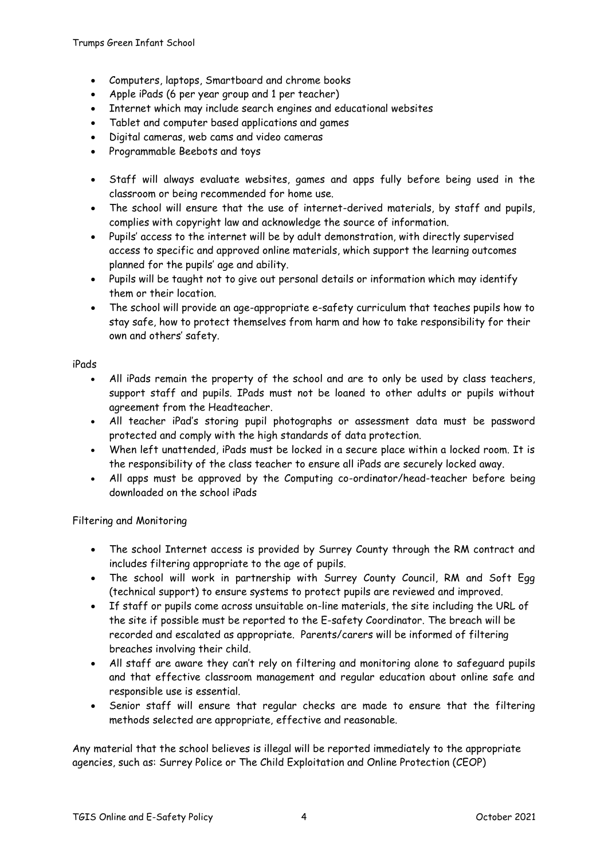- Computers, laptops, Smartboard and chrome books
- Apple iPads (6 per year group and 1 per teacher)
- Internet which may include search engines and educational websites
- Tablet and computer based applications and games
- Digital cameras, web cams and video cameras
- Programmable Beebots and toys
- Staff will always evaluate websites, games and apps fully before being used in the classroom or being recommended for home use.
- The school will ensure that the use of internet-derived materials, by staff and pupils, complies with copyright law and acknowledge the source of information.
- Pupils' access to the internet will be by adult demonstration, with directly supervised access to specific and approved online materials, which support the learning outcomes planned for the pupils' age and ability.
- Pupils will be taught not to give out personal details or information which may identify them or their location.
- The school will provide an age-appropriate e-safety curriculum that teaches pupils how to stay safe, how to protect themselves from harm and how to take responsibility for their own and others' safety.

#### iPads

- All iPads remain the property of the school and are to only be used by class teachers, support staff and pupils. IPads must not be loaned to other adults or pupils without agreement from the Headteacher.
- All teacher iPad's storing pupil photographs or assessment data must be password protected and comply with the high standards of data protection.
- When left unattended, iPads must be locked in a secure place within a locked room. It is the responsibility of the class teacher to ensure all iPads are securely locked away.
- All apps must be approved by the Computing co-ordinator/head-teacher before being downloaded on the school iPads

## Filtering and Monitoring

- The school Internet access is provided by Surrey County through the RM contract and includes filtering appropriate to the age of pupils.
- The school will work in partnership with Surrey County Council, RM and Soft Egg (technical support) to ensure systems to protect pupils are reviewed and improved.
- If staff or pupils come across unsuitable on-line materials, the site including the URL of the site if possible must be reported to the E-safety Coordinator. The breach will be recorded and escalated as appropriate. Parents/carers will be informed of filtering breaches involving their child.
- All staff are aware they can't rely on filtering and monitoring alone to safeguard pupils and that effective classroom management and regular education about online safe and responsible use is essential.
- Senior staff will ensure that regular checks are made to ensure that the filtering methods selected are appropriate, effective and reasonable.

Any material that the school believes is illegal will be reported immediately to the appropriate agencies, such as: Surrey Police or The Child Exploitation and Online Protection (CEOP)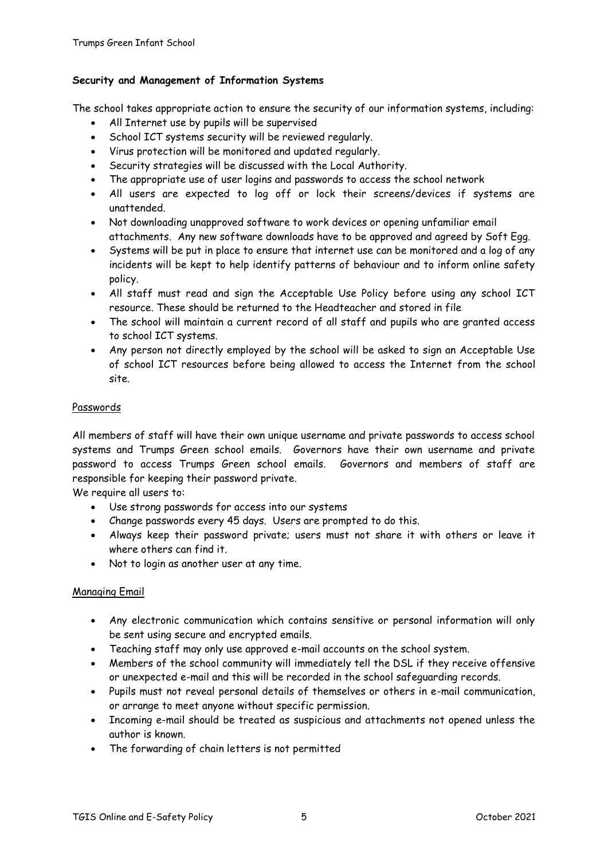# **Security and Management of Information Systems**

The school takes appropriate action to ensure the security of our information systems, including:

- All Internet use by pupils will be supervised
- School ICT systems security will be reviewed regularly.
- Virus protection will be monitored and updated regularly.
- Security strategies will be discussed with the Local Authority.
- The appropriate use of user logins and passwords to access the school network
- All users are expected to log off or lock their screens/devices if systems are unattended.
- Not downloading unapproved software to work devices or opening unfamiliar email attachments. Any new software downloads have to be approved and agreed by Soft Egg.
- Systems will be put in place to ensure that internet use can be monitored and a log of any incidents will be kept to help identify patterns of behaviour and to inform online safety policy.
- All staff must read and sign the Acceptable Use Policy before using any school ICT resource. These should be returned to the Headteacher and stored in file
- The school will maintain a current record of all staff and pupils who are granted access to school ICT systems.
- Any person not directly employed by the school will be asked to sign an Acceptable Use of school ICT resources before being allowed to access the Internet from the school site.

## Passwords

All members of staff will have their own unique username and private passwords to access school systems and Trumps Green school emails. Governors have their own username and private password to access Trumps Green school emails. Governors and members of staff are responsible for keeping their password private.

We require all users to:

- Use strong passwords for access into our systems
- Change passwords every 45 days. Users are prompted to do this.
- Always keep their password private; users must not share it with others or leave it where others can find it.
- Not to login as another user at any time.

## Managing Email

- Any electronic communication which contains sensitive or personal information will only be sent using secure and encrypted emails.
- Teaching staff may only use approved e-mail accounts on the school system.
- Members of the school community will immediately tell the DSL if they receive offensive or unexpected e-mail and this will be recorded in the school safeguarding records.
- Pupils must not reveal personal details of themselves or others in e-mail communication, or arrange to meet anyone without specific permission.
- Incoming e-mail should be treated as suspicious and attachments not opened unless the author is known.
- The forwarding of chain letters is not permitted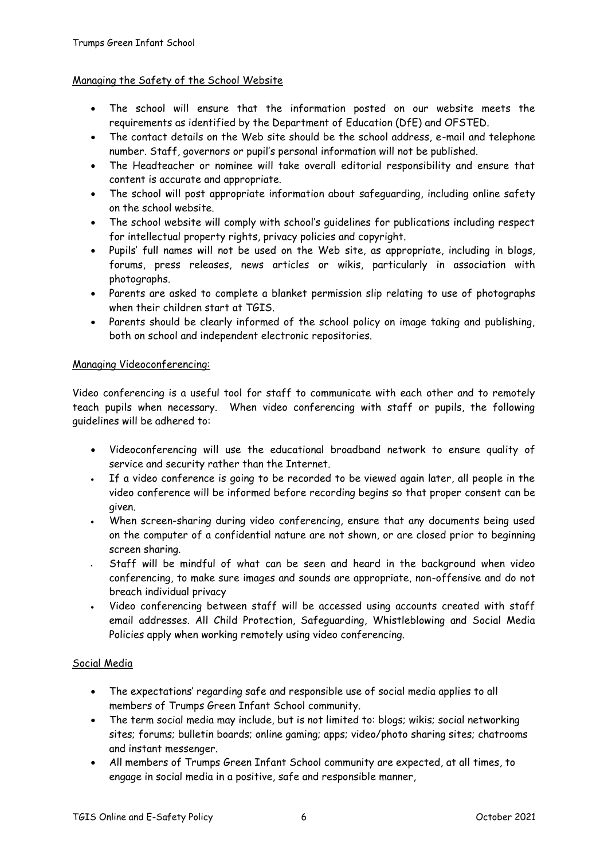## Managing the Safety of the School Website

- The school will ensure that the information posted on our website meets the requirements as identified by the Department of Education (DfE) and OFSTED.
- The contact details on the Web site should be the school address, e-mail and telephone number. Staff, governors or pupil's personal information will not be published.
- The Headteacher or nominee will take overall editorial responsibility and ensure that content is accurate and appropriate.
- The school will post appropriate information about safeguarding, including online safety on the school website.
- The school website will comply with school's guidelines for publications including respect for intellectual property rights, privacy policies and copyright.
- Pupils' full names will not be used on the Web site, as appropriate, including in blogs, forums, press releases, news articles or wikis, particularly in association with photographs.
- Parents are asked to complete a blanket permission slip relating to use of photographs when their children start at TGIS.
- Parents should be clearly informed of the school policy on image taking and publishing, both on school and independent electronic repositories.

# Managing Videoconferencing:

Video conferencing is a useful tool for staff to communicate with each other and to remotely teach pupils when necessary. When video conferencing with staff or pupils, the following guidelines will be adhered to:

- Videoconferencing will use the educational broadband network to ensure quality of service and security rather than the Internet.
- If a video conference is going to be recorded to be viewed again later, all people in the video conference will be informed before recording begins so that proper consent can be given.
- When screen-sharing during video conferencing, ensure that any documents being used on the computer of a confidential nature are not shown, or are closed prior to beginning screen sharing.
- Staff will be mindful of what can be seen and heard in the background when video conferencing, to make sure images and sounds are appropriate, non-offensive and do not breach individual privacy
- Video conferencing between staff will be accessed using accounts created with staff email addresses. All Child Protection, Safeguarding, Whistleblowing and Social Media Policies apply when working remotely using video conferencing.

## Social Media

- The expectations' regarding safe and responsible use of social media applies to all members of Trumps Green Infant School community.
- The term social media may include, but is not limited to: blogs; wikis; social networking sites; forums; bulletin boards; online gaming; apps; video/photo sharing sites; chatrooms and instant messenger.
- All members of Trumps Green Infant School community are expected, at all times, to engage in social media in a positive, safe and responsible manner,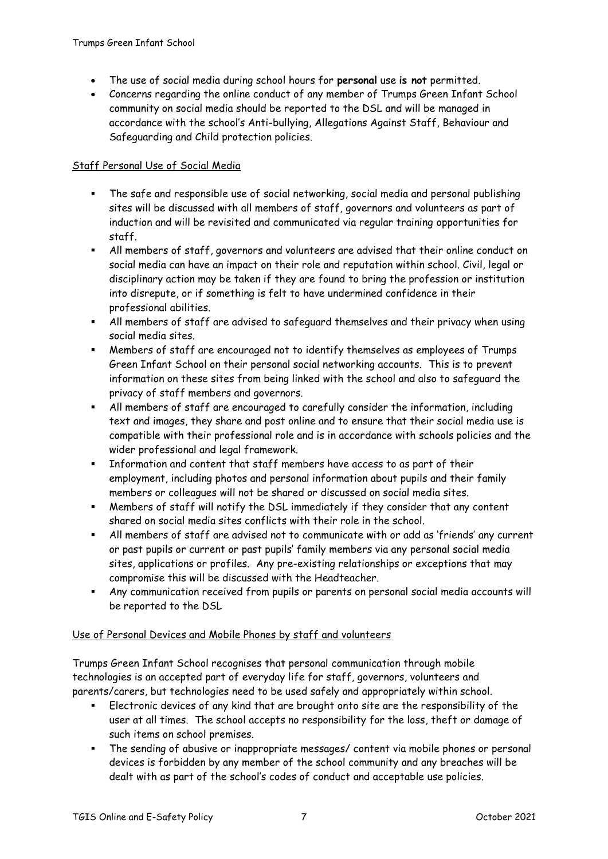- The use of social media during school hours for **personal** use **is not** permitted.
- Concerns regarding the online conduct of any member of Trumps Green Infant School community on social media should be reported to the DSL and will be managed in accordance with the school's Anti-bullying, Allegations Against Staff, Behaviour and Safeguarding and Child protection policies.

# Staff Personal Use of Social Media

- The safe and responsible use of social networking, social media and personal publishing sites will be discussed with all members of staff, governors and volunteers as part of induction and will be revisited and communicated via regular training opportunities for staff.
- All members of staff, governors and volunteers are advised that their online conduct on social media can have an impact on their role and reputation within school. Civil, legal or disciplinary action may be taken if they are found to bring the profession or institution into disrepute, or if something is felt to have undermined confidence in their professional abilities.
- All members of staff are advised to safeguard themselves and their privacy when using social media sites.
- Members of staff are encouraged not to identify themselves as employees of Trumps Green Infant School on their personal social networking accounts. This is to prevent information on these sites from being linked with the school and also to safeguard the privacy of staff members and governors.
- All members of staff are encouraged to carefully consider the information, including text and images, they share and post online and to ensure that their social media use is compatible with their professional role and is in accordance with schools policies and the wider professional and legal framework.
- Information and content that staff members have access to as part of their employment, including photos and personal information about pupils and their family members or colleagues will not be shared or discussed on social media sites.
- Members of staff will notify the DSL immediately if they consider that any content shared on social media sites conflicts with their role in the school.
- All members of staff are advised not to communicate with or add as 'friends' any current or past pupils or current or past pupils' family members via any personal social media sites, applications or profiles. Any pre-existing relationships or exceptions that may compromise this will be discussed with the Headteacher.
- Any communication received from pupils or parents on personal social media accounts will be reported to the DSL

## Use of Personal Devices and Mobile Phones by staff and volunteers

Trumps Green Infant School recognises that personal communication through mobile technologies is an accepted part of everyday life for staff, governors, volunteers and parents/carers, but technologies need to be used safely and appropriately within school.

- Electronic devices of any kind that are brought onto site are the responsibility of the user at all times. The school accepts no responsibility for the loss, theft or damage of such items on school premises.
- The sending of abusive or inappropriate messages/ content via mobile phones or personal devices is forbidden by any member of the school community and any breaches will be dealt with as part of the school's codes of conduct and acceptable use policies.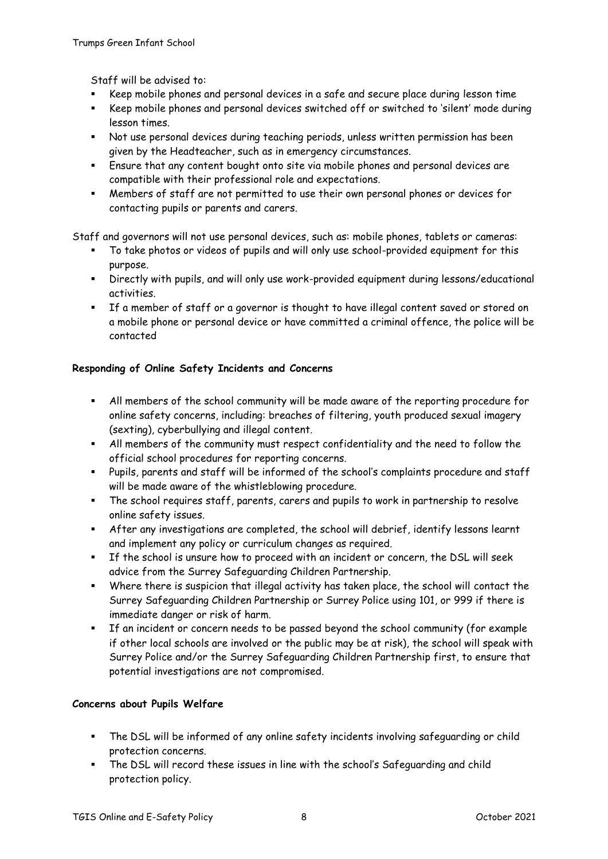Staff will be advised to:

- Keep mobile phones and personal devices in a safe and secure place during lesson time
- Keep mobile phones and personal devices switched off or switched to 'silent' mode during lesson times.
- Not use personal devices during teaching periods, unless written permission has been given by the Headteacher, such as in emergency circumstances.
- Ensure that any content bought onto site via mobile phones and personal devices are compatible with their professional role and expectations.
- Members of staff are not permitted to use their own personal phones or devices for contacting pupils or parents and carers.

Staff and governors will not use personal devices, such as: mobile phones, tablets or cameras:

- To take photos or videos of pupils and will only use school-provided equipment for this purpose.
- Directly with pupils, and will only use work-provided equipment during lessons/educational activities.
- If a member of staff or a governor is thought to have illegal content saved or stored on a mobile phone or personal device or have committed a criminal offence, the police will be contacted

# **Responding of Online Safety Incidents and Concerns**

- All members of the school community will be made aware of the reporting procedure for online safety concerns, including: breaches of filtering, youth produced sexual imagery (sexting), cyberbullying and illegal content.
- All members of the community must respect confidentiality and the need to follow the official school procedures for reporting concerns.
- Pupils, parents and staff will be informed of the school's complaints procedure and staff will be made aware of the whistleblowing procedure.
- The school requires staff, parents, carers and pupils to work in partnership to resolve online safety issues.
- After any investigations are completed, the school will debrief, identify lessons learnt and implement any policy or curriculum changes as required.
- If the school is unsure how to proceed with an incident or concern, the DSL will seek advice from the Surrey Safeguarding Children Partnership.
- Where there is suspicion that illegal activity has taken place, the school will contact the Surrey Safeguarding Children Partnership or Surrey Police using 101, or 999 if there is immediate danger or risk of harm.
- If an incident or concern needs to be passed beyond the school community (for example if other local schools are involved or the public may be at risk), the school will speak with Surrey Police and/or the Surrey Safeguarding Children Partnership first, to ensure that potential investigations are not compromised.

## **Concerns about Pupils Welfare**

- The DSL will be informed of any online safety incidents involving safeguarding or child protection concerns.
- The DSL will record these issues in line with the school's Safeguarding and child protection policy.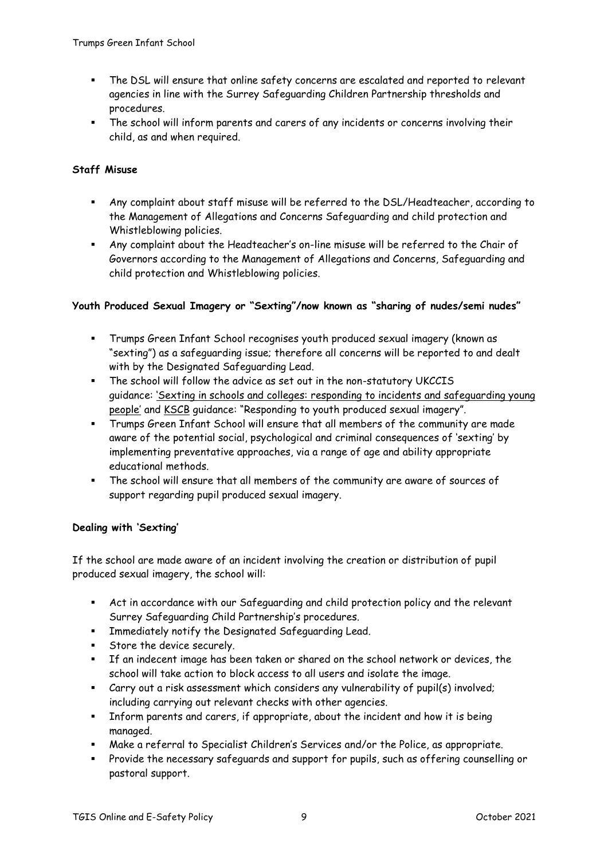- The DSL will ensure that online safety concerns are escalated and reported to relevant agencies in line with the Surrey Safeguarding Children Partnership thresholds and procedures.
- The school will inform parents and carers of any incidents or concerns involving their child, as and when required.

# **Staff Misuse**

- Any complaint about staff misuse will be referred to the DSL/Headteacher, according to the Management of Allegations and Concerns Safeguarding and child protection and Whistleblowing policies.
- Any complaint about the Headteacher's on-line misuse will be referred to the Chair of Governors according to the Management of Allegations and Concerns, Safeguarding and child protection and Whistleblowing policies.

## **Youth Produced Sexual Imagery or "Sexting"/now known as "sharing of nudes/semi nudes"**

- Trumps Green Infant School recognises youth produced sexual imagery (known as "sexting") as a safeguarding issue; therefore all concerns will be reported to and dealt with by the Designated Safeguarding Lead.
- The school will follow the advice as set out in the non-statutory UKCCIS guidance: 'Sexting in schools and colleges: responding to incidents and [safeguarding](https://www.gov.uk/government/groups/uk-council-for-child-internet-safety-ukccis) young [people'](https://www.gov.uk/government/groups/uk-council-for-child-internet-safety-ukccis) and [KSCB](http://www.kscb.org.uk/guidance/online-safety) guidance: "Responding to youth produced sexual imagery".
- Trumps Green Infant School will ensure that all members of the community are made aware of the potential social, psychological and criminal consequences of 'sexting' by implementing preventative approaches, via a range of age and ability appropriate educational methods.
- The school will ensure that all members of the community are aware of sources of support regarding pupil produced sexual imagery.

## **Dealing with 'Sexting'**

If the school are made aware of an incident involving the creation or distribution of pupil produced sexual imagery, the school will:

- Act in accordance with our Safeguarding and child protection policy and the relevant Surrey Safeguarding Child Partnership's procedures.
- **EXEDENT Immediately notify the Designated Safeguarding Lead.**
- **Store the device securely.**
- If an indecent image has been taken or shared on the school network or devices, the school will take action to block access to all users and isolate the image.
- Carry out a risk assessment which considers any vulnerability of pupil(s) involved; including carrying out relevant checks with other agencies.
- Inform parents and carers, if appropriate, about the incident and how it is being managed.
- Make a referral to Specialist Children's Services and/or the Police, as appropriate.
- Provide the necessary safeguards and support for pupils, such as offering counselling or pastoral support.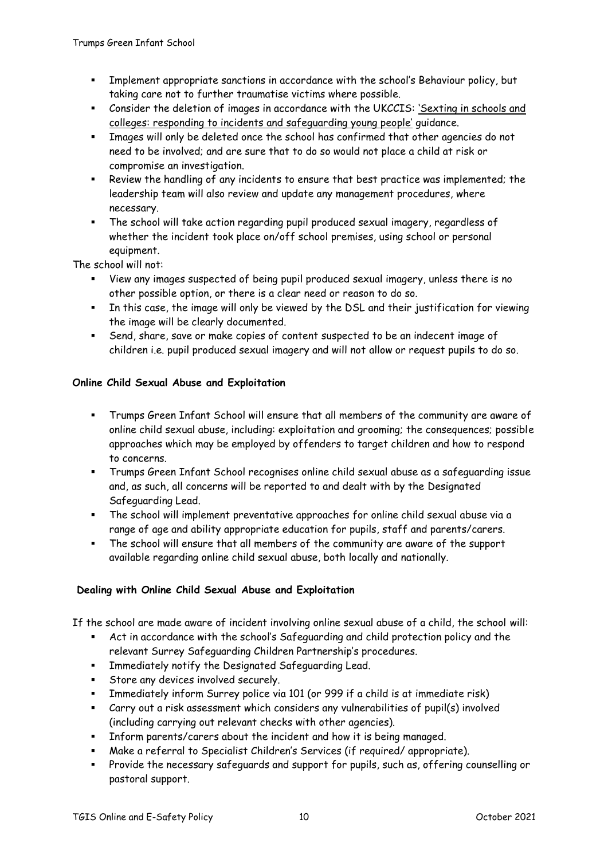- Implement appropriate sanctions in accordance with the school's Behaviour policy, but taking care not to further traumatise victims where possible.
- Consider the deletion of images in accordance with the UKCCIS: ['Sexting](https://www.gov.uk/government/groups/uk-council-for-child-internet-safety-ukccis) in schools and colleges: responding to incidents and [safeguarding](https://www.gov.uk/government/groups/uk-council-for-child-internet-safety-ukccis) young people' guidance.
- Images will only be deleted once the school has confirmed that other agencies do not need to be involved; and are sure that to do so would not place a child at risk or compromise an investigation.
- Review the handling of any incidents to ensure that best practice was implemented; the leadership team will also review and update any management procedures, where necessary.
- The school will take action regarding pupil produced sexual imagery, regardless of whether the incident took place on/off school premises, using school or personal equipment.

The school will not:

- View any images suspected of being pupil produced sexual imagery, unless there is no other possible option, or there is a clear need or reason to do so.
- In this case, the image will only be viewed by the DSL and their justification for viewing the image will be clearly documented.
- Send, share, save or make copies of content suspected to be an indecent image of children i.e. pupil produced sexual imagery and will not allow or request pupils to do so.

# **Online Child Sexual Abuse and Exploitation**

- Trumps Green Infant School will ensure that all members of the community are aware of online child sexual abuse, including: exploitation and grooming; the consequences; possible approaches which may be employed by offenders to target children and how to respond to concerns.
- Trumps Green Infant School recognises online child sexual abuse as a safeguarding issue and, as such, all concerns will be reported to and dealt with by the Designated Safeguarding Lead.
- The school will implement preventative approaches for online child sexual abuse via a range of age and ability appropriate education for pupils, staff and parents/carers.
- The school will ensure that all members of the community are aware of the support available regarding online child sexual abuse, both locally and nationally.

## **Dealing with Online Child Sexual Abuse and Exploitation**

If the school are made aware of incident involving online sexual abuse of a child, the school will:

- Act in accordance with the school's Safeguarding and child protection policy and the relevant Surrey Safeguarding Children Partnership's procedures.
- Immediately notify the Designated Safeguarding Lead.
- Store any devices involved securely.
- Immediately inform Surrey police via 101 (or 999 if a child is at immediate risk)
- Carry out a risk assessment which considers any vulnerabilities of pupil(s) involved (including carrying out relevant checks with other agencies).
- Inform parents/carers about the incident and how it is being managed.
- Make a referral to Specialist Children's Services (if required/ appropriate).
- Provide the necessary safeguards and support for pupils, such as, offering counselling or pastoral support.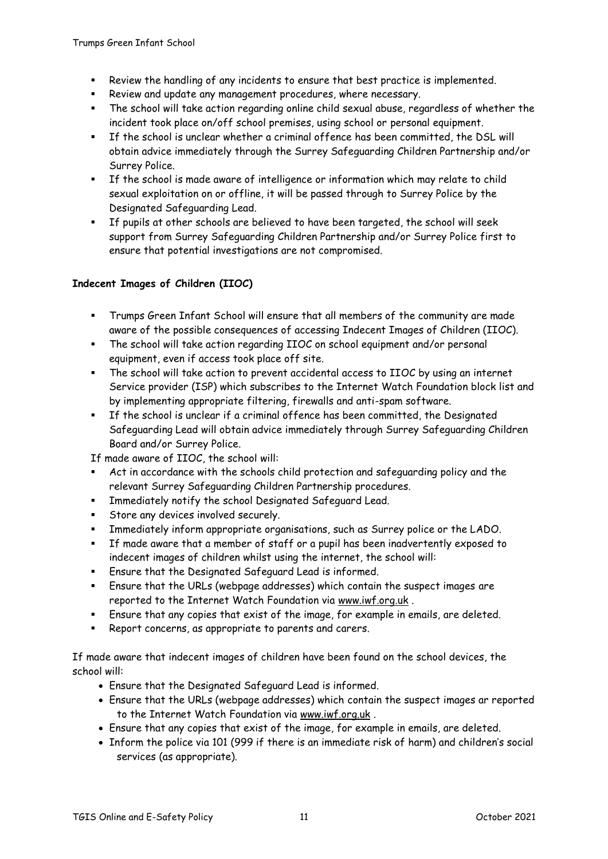- Review the handling of any incidents to ensure that best practice is implemented.
- Review and update any management procedures, where necessary.
- The school will take action regarding online child sexual abuse, regardless of whether the incident took place on/off school premises, using school or personal equipment.
- If the school is unclear whether a criminal offence has been committed, the DSL will obtain advice immediately through the Surrey Safeguarding Children Partnership and/or Surrey Police.
- If the school is made aware of intelligence or information which may relate to child sexual exploitation on or offline, it will be passed through to Surrey Police by the Designated Safeguarding Lead.
- If pupils at other schools are believed to have been targeted, the school will seek support from Surrey Safeguarding Children Partnership and/or Surrey Police first to ensure that potential investigations are not compromised.

# **Indecent Images of Children (IIOC)**

- Trumps Green Infant School will ensure that all members of the community are made aware of the possible consequences of accessing Indecent Images of Children (IIOC).
- The school will take action regarding IIOC on school equipment and/or personal equipment, even if access took place off site.
- The school will take action to prevent accidental access to IIOC by using an internet Service provider (ISP) which subscribes to the Internet Watch Foundation block list and by implementing appropriate filtering, firewalls and anti-spam software.
- If the school is unclear if a criminal offence has been committed, the Designated Safeguarding Lead will obtain advice immediately through Surrey Safeguarding Children Board and/or Surrey Police.

If made aware of IIOC, the school will:

- Act in accordance with the schools child protection and safeguarding policy and the relevant Surrey Safeguarding Children Partnership procedures.
- Immediately notify the school Designated Safeguard Lead.
- Store any devices involved securely.
- Immediately inform appropriate organisations, such as Surrey police or the LADO.
- If made aware that a member of staff or a pupil has been inadvertently exposed to indecent images of children whilst using the internet, the school will:
- Ensure that the Designated Safeguard Lead is informed.
- Ensure that the URLs (webpage addresses) which contain the suspect images are reported to the Internet Watch Foundation via [www.iwf.org.uk](https://www.iwf.org.uk/) .
- Ensure that any copies that exist of the image, for example in emails, are deleted.
- Report concerns, as appropriate to parents and carers.

If made aware that indecent images of children have been found on the school devices, the school will:

- Ensure that the Designated Safeguard Lead is informed.
- Ensure that the URLs (webpage addresses) which contain the suspect images ar reported to the Internet Watch Foundation via [www.iwf.org.uk](https://www.iwf.org.uk/) .
- Ensure that any copies that exist of the image, for example in emails, are deleted.
- Inform the police via 101 (999 if there is an immediate risk of harm) and children's social services (as appropriate).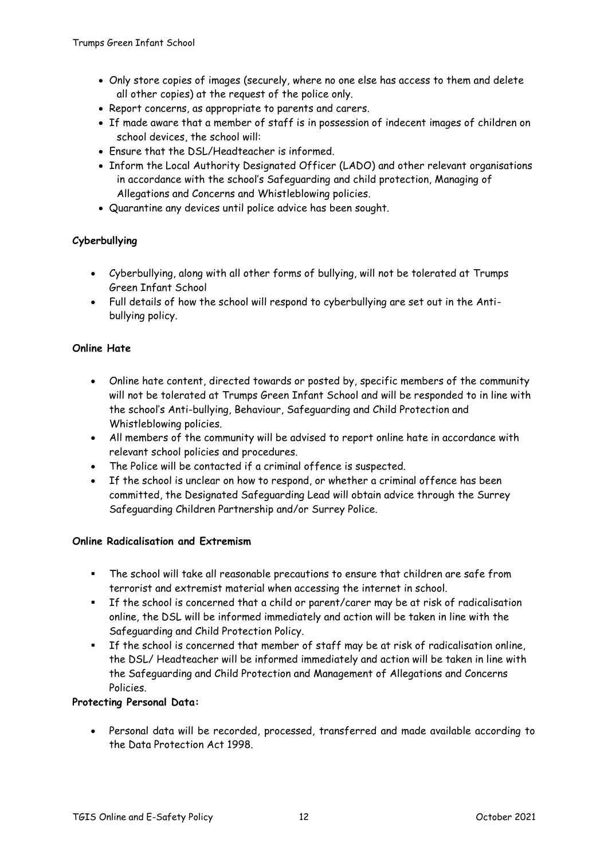- Only store copies of images (securely, where no one else has access to them and delete all other copies) at the request of the police only.
- Report concerns, as appropriate to parents and carers.
- If made aware that a member of staff is in possession of indecent images of children on school devices, the school will:
- Ensure that the DSL/Headteacher is informed.
- Inform the Local Authority Designated Officer (LADO) and other relevant organisations in accordance with the school's Safeguarding and child protection, Managing of Allegations and Concerns and Whistleblowing policies.
- Quarantine any devices until police advice has been sought.

## **Cyberbullying**

- Cyberbullying, along with all other forms of bullying, will not be tolerated at Trumps Green Infant School
- Full details of how the school will respond to cyberbullying are set out in the Antibullying policy.

## **Online Hate**

- Online hate content, directed towards or posted by, specific members of the community will not be tolerated at Trumps Green Infant School and will be responded to in line with the school's Anti-bullying, Behaviour, Safeguarding and Child Protection and Whistleblowing policies.
- All members of the community will be advised to report online hate in accordance with relevant school policies and procedures.
- The Police will be contacted if a criminal offence is suspected.
- If the school is unclear on how to respond, or whether a criminal offence has been committed, the Designated Safeguarding Lead will obtain advice through the Surrey Safeguarding Children Partnership and/or Surrey Police.

## **Online Radicalisation and Extremism**

- The school will take all reasonable precautions to ensure that children are safe from terrorist and extremist material when accessing the internet in school.
- If the school is concerned that a child or parent/carer may be at risk of radicalisation online, the DSL will be informed immediately and action will be taken in line with the Safeguarding and Child Protection Policy.
- If the school is concerned that member of staff may be at risk of radicalisation online, the DSL/ Headteacher will be informed immediately and action will be taken in line with the Safeguarding and Child Protection and Management of Allegations and Concerns Policies.

## **Protecting Personal Data:**

 Personal data will be recorded, processed, transferred and made available according to the Data Protection Act 1998.